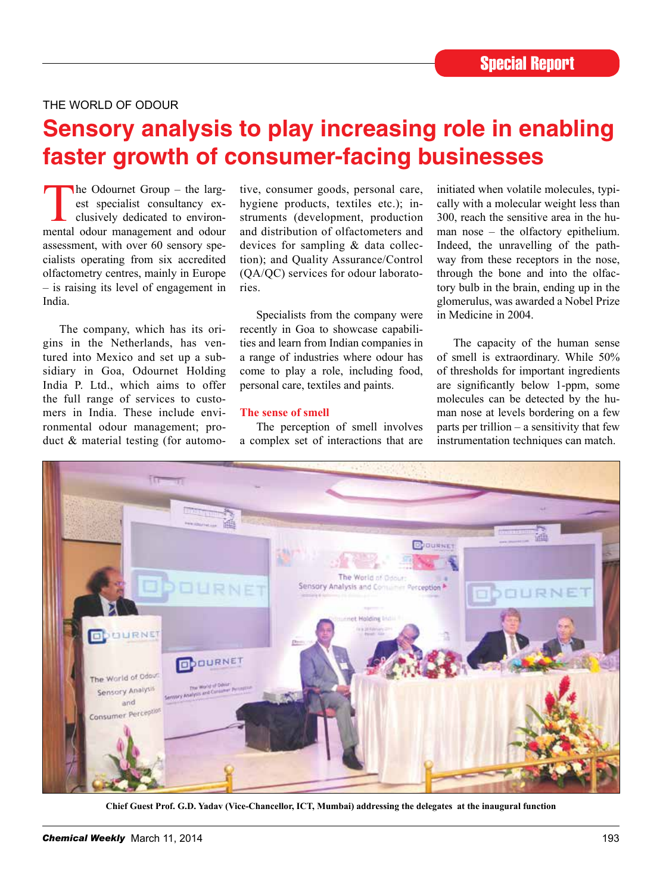# THE WORLD OF ODOUR

# **Sensory analysis to play increasing role in enabling faster growth of consumer-facing businesses**

The Odournet Group – the largest specialist consultancy ex-<br>clusively dedicated to environ-<br>mental odour management and odour est specialist consultancy exclusively dedicated to environmental odour management and odour assessment, with over 60 sensory specialists operating from six accredited olfactometry centres, mainly in Europe – is raising its level of engagement in India.

The company, which has its origins in the Netherlands, has ventured into Mexico and set up a subsidiary in Goa, Odournet Holding India P. Ltd., which aims to offer the full range of services to customers in India. These include environmental odour management; product & material testing (for automo-

tive, consumer goods, personal care, hygiene products, textiles etc.); instruments (development, production and distribution of olfactometers and devices for sampling & data collection); and Quality Assurance/Control (QA/QC) services for odour laboratories.

Specialists from the company were recently in Goa to showcase capabilities and learn from Indian companies in a range of industries where odour has come to play a role, including food, personal care, textiles and paints.

#### **The sense of smell**

The perception of smell involves a complex set of interactions that are initiated when volatile molecules, typically with a molecular weight less than 300, reach the sensitive area in the human nose – the olfactory epithelium. Indeed, the unravelling of the pathway from these receptors in the nose, through the bone and into the olfactory bulb in the brain, ending up in the glomerulus, was awarded a Nobel Prize in Medicine in 2004.

The capacity of the human sense of smell is extraordinary. While 50% of thresholds for important ingredients are significantly below 1-ppm, some molecules can be detected by the human nose at levels bordering on a few parts per trillion – a sensitivity that few instrumentation techniques can match.



**Chief Guest Prof. G.D. Yadav (Vice-Chancellor, ict, Mumbai) addressing the delegates at the inaugural function**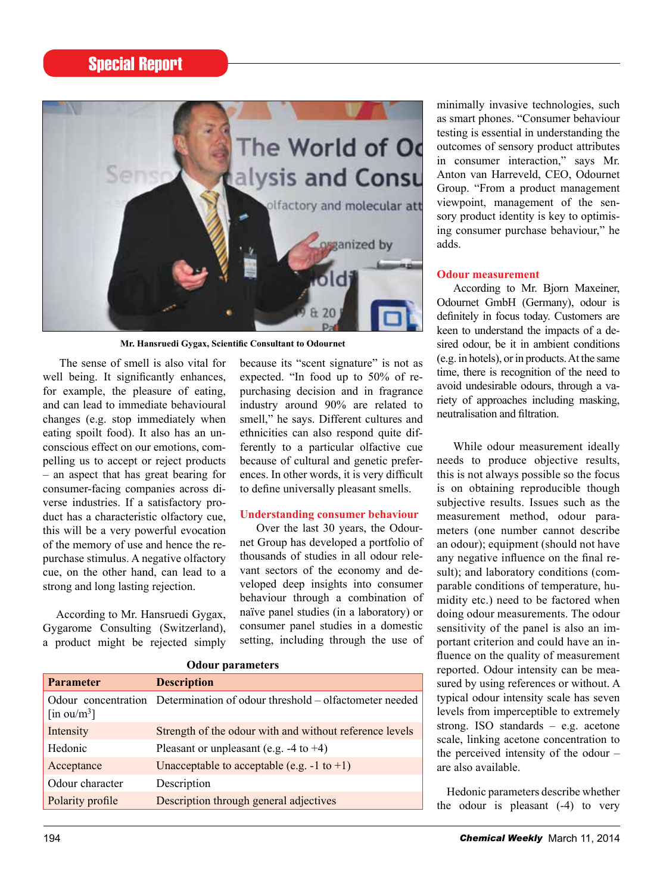# Special Report



**Mr. Hansruedi Gygax, Scientific Consultant to Odournet**

The sense of smell is also vital for well being. It significantly enhances, for example, the pleasure of eating, and can lead to immediate behavioural changes (e.g. stop immediately when eating spoilt food). It also has an unconscious effect on our emotions, compelling us to accept or reject products – an aspect that has great bearing for consumer-facing companies across diverse industries. If a satisfactory product has a characteristic olfactory cue, this will be a very powerful evocation of the memory of use and hence the repurchase stimulus. A negative olfactory cue, on the other hand, can lead to a strong and long lasting rejection.

According to Mr. Hansruedi Gygax, Gygarome Consulting (Switzerland), a product might be rejected simply because its "scent signature" is not as expected. "In food up to 50% of repurchasing decision and in fragrance industry around 90% are related to smell," he says. Different cultures and ethnicities can also respond quite differently to a particular olfactive cue because of cultural and genetic preferences. In other words, it is very difficult to define universally pleasant smells.

#### **Understanding consumer behaviour**

Over the last 30 years, the Odournet Group has developed a portfolio of thousands of studies in all odour relevant sectors of the economy and developed deep insights into consumer behaviour through a combination of naïve panel studies (in a laboratory) or consumer panel studies in a domestic setting, including through the use of

| <b>Odour parameters</b> |                                                                            |
|-------------------------|----------------------------------------------------------------------------|
| <b>Parameter</b>        | <b>Description</b>                                                         |
| [in ou/m <sup>3</sup> ] | Odour concentration Determination of odour threshold - olfactometer needed |
| Intensity               | Strength of the odour with and without reference levels                    |
| Hedonic                 | Pleasant or unpleasant (e.g. $-4$ to $+4$ )                                |
| Acceptance              | Unacceptable to acceptable (e.g. $-1$ to $+1$ )                            |
| Odour character         | Description                                                                |
| Polarity profile        | Description through general adjectives                                     |

minimally invasive technologies, such as smart phones. "Consumer behaviour testing is essential in understanding the outcomes of sensory product attributes in consumer interaction," says Mr. Anton van Harreveld, CEO, Odournet Group. "From a product management viewpoint, management of the sensory product identity is key to optimising consumer purchase behaviour," he adds.

## **Odour measurement**

According to Mr. Biorn Maxeiner, Odournet GmbH (Germany), odour is definitely in focus today. Customers are keen to understand the impacts of a desired odour, be it in ambient conditions (e.g. in hotels), or in products. At the same time, there is recognition of the need to avoid undesirable odours, through a variety of approaches including masking, neutralisation and filtration.

While odour measurement ideally needs to produce objective results, this is not always possible so the focus is on obtaining reproducible though subjective results. Issues such as the measurement method, odour parameters (one number cannot describe an odour); equipment (should not have any negative influence on the final result); and laboratory conditions (comparable conditions of temperature, humidity etc.) need to be factored when doing odour measurements. The odour sensitivity of the panel is also an important criterion and could have an influence on the quality of measurement reported. Odour intensity can be measured by using references or without. A typical odour intensity scale has seven levels from imperceptible to extremely strong. ISO standards – e.g. acetone scale, linking acetone concentration to the perceived intensity of the odour – are also available.

Hedonic parameters describe whether the odour is pleasant (-4) to very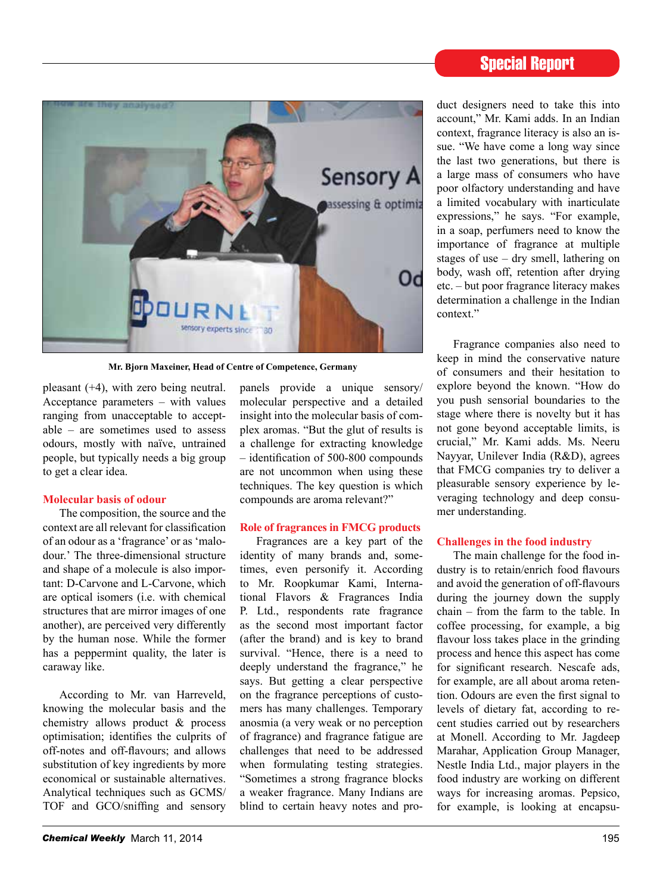# Special Report



**Mr. Bjorn Maxeiner, Head of Centre of Competence, Germany**

pleasant (+4), with zero being neutral. Acceptance parameters – with values ranging from unacceptable to acceptable – are sometimes used to assess odours, mostly with naïve, untrained people, but typically needs a big group to get a clear idea.

#### **Molecular basis of odour**

The composition, the source and the context are all relevant for classification of an odour as a 'fragrance' or as 'malodour.' The three-dimensional structure and shape of a molecule is also important: D-Carvone and L-Carvone, which are optical isomers (i.e. with chemical structures that are mirror images of one another), are perceived very differently by the human nose. While the former has a peppermint quality, the later is caraway like.

According to Mr. van Harreveld, knowing the molecular basis and the chemistry allows product & process optimisation; identifies the culprits of off-notes and off-flavours; and allows substitution of key ingredients by more economical or sustainable alternatives. Analytical techniques such as GCMS/ TOF and GCO/sniffing and sensory

panels provide a unique sensory/ molecular perspective and a detailed insight into the molecular basis of complex aromas. "But the glut of results is a challenge for extracting knowledge – identification of 500-800 compounds are not uncommon when using these techniques. The key question is which compounds are aroma relevant?"

#### **Role of fragrances in FMCG products**

Fragrances are a key part of the identity of many brands and, sometimes, even personify it. According to Mr. Roopkumar Kami, International Flavors & Fragrances India P. Ltd., respondents rate fragrance as the second most important factor (after the brand) and is key to brand survival. "Hence, there is a need to deeply understand the fragrance," he says. But getting a clear perspective on the fragrance perceptions of customers has many challenges. Temporary anosmia (a very weak or no perception of fragrance) and fragrance fatigue are challenges that need to be addressed when formulating testing strategies. "Sometimes a strong fragrance blocks a weaker fragrance. Many Indians are blind to certain heavy notes and product designers need to take this into account," Mr. Kami adds. In an Indian context, fragrance literacy is also an issue. "We have come a long way since the last two generations, but there is a large mass of consumers who have poor olfactory understanding and have a limited vocabulary with inarticulate expressions," he says. "For example, in a soap, perfumers need to know the importance of fragrance at multiple stages of use – dry smell, lathering on body, wash off, retention after drying etc. – but poor fragrance literacy makes determination a challenge in the Indian context<sup>"</sup>

Fragrance companies also need to keep in mind the conservative nature of consumers and their hesitation to explore beyond the known. "How do you push sensorial boundaries to the stage where there is novelty but it has not gone beyond acceptable limits, is crucial," Mr. Kami adds. Ms. Neeru Nayyar, Unilever India (R&D), agrees that FMCG companies try to deliver a pleasurable sensory experience by leveraging technology and deep consumer understanding.

#### **Challenges in the food industry**

The main challenge for the food industry is to retain/enrich food flavours and avoid the generation of off-flavours during the journey down the supply chain – from the farm to the table. In coffee processing, for example, a big flavour loss takes place in the grinding process and hence this aspect has come for significant research. Nescafe ads, for example, are all about aroma retention. Odours are even the first signal to levels of dietary fat, according to recent studies carried out by researchers at Monell. According to Mr. Jagdeep Marahar, Application Group Manager, Nestle India Ltd., major players in the food industry are working on different ways for increasing aromas. Pepsico, for example, is looking at encapsu-